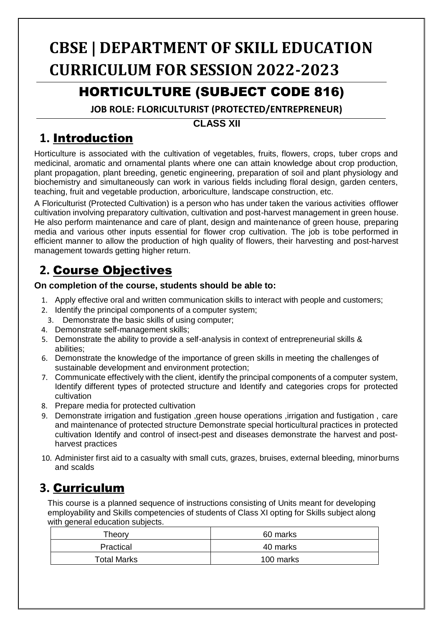# **CBSE | DEPARTMENT OF SKILL EDUCATION CURRICULUM FOR SESSION 2022-2023**

### HORTICULTURE (SUBJECT CODE 816)

**JOB ROLE: FLORICULTURIST (PROTECTED/ENTREPRENEUR)**

#### **CLASS XII**

### **1.** Introduction

Horticulture is associated with the cultivation of vegetables, fruits, flowers, crops, tuber crops and medicinal, aromatic and ornamental plants where one can attain knowledge about crop production, plant propagation, plant breeding, genetic engineering, preparation of soil and plant physiology and biochemistry and simultaneously can work in various fields including floral design, garden centers, teaching, fruit and vegetable production, arboriculture, landscape construction, etc.

A Floriculturist (Protected Cultivation) is a person who has under taken the various activities offlower cultivation involving preparatory cultivation, cultivation and post-harvest management in green house. He also perform maintenance and care of plant, design and maintenance of green house, preparing media and various other inputs essential for flower crop cultivation. The job is tobe performed in efficient manner to allow the production of high quality of flowers, their harvesting and post-harvest management towards getting higher return.

## **2.** Course Objectives

#### **On completion of the course, students should be able to:**

- 1. Apply effective oral and written communication skills to interact with people and customers;
- 2. Identify the principal components of a computer system;
- 3. Demonstrate the basic skills of using computer;
- 4. Demonstrate self-management skills;
- 5. Demonstrate the ability to provide a self-analysis in context of entrepreneurial skills & abilities;
- 6. Demonstrate the knowledge of the importance of green skills in meeting the challenges of sustainable development and environment protection;
- 7. Communicate effectively with the client, identify the principal components of a computer system, Identify different types of protected structure and Identify and categories crops for protected cultivation
- 8. Prepare media for protected cultivation
- 9. Demonstrate irrigation and fustigation ,green house operations ,irrigation and fustigation , care and maintenance of protected structure Demonstrate special horticultural practices in protected cultivation Identify and control of insect-pest and diseases demonstrate the harvest and postharvest practices
- 10. Administer first aid to a casualty with small cuts, grazes, bruises, external bleeding, minorburns and scalds

### **3.** Curriculum

This course is a planned sequence of instructions consisting of Units meant for developing employability and Skills competencies of students of Class XI opting for Skills subject along with general education subjects.

| Theory      | 60 marks  |
|-------------|-----------|
| Practical   | 40 marks  |
| Total Marks | 100 marks |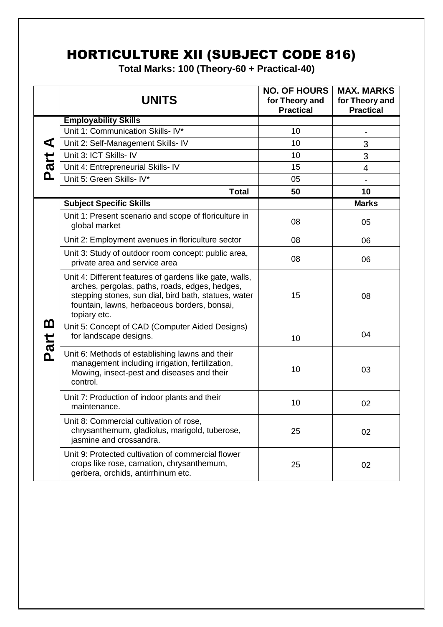# HORTICULTURE XII (SUBJECT CODE 816)

**Total Marks: 100 (Theory-60 + Practical-40)**

|                      | <b>UNITS</b>                                                                                                                                                                                                                      | <b>NO. OF HOURS</b><br>for Theory and<br><b>Practical</b> | <b>MAX. MARKS</b><br>for Theory and<br><b>Practical</b> |
|----------------------|-----------------------------------------------------------------------------------------------------------------------------------------------------------------------------------------------------------------------------------|-----------------------------------------------------------|---------------------------------------------------------|
|                      | <b>Employability Skills</b>                                                                                                                                                                                                       |                                                           |                                                         |
|                      | Unit 1: Communication Skills- IV*                                                                                                                                                                                                 | 10                                                        |                                                         |
| $\blacktriangleleft$ | Unit 2: Self-Management Skills- IV                                                                                                                                                                                                | 10                                                        | 3                                                       |
|                      | Unit 3: ICT Skills- IV                                                                                                                                                                                                            | 10                                                        | 3                                                       |
| Part                 | Unit 4: Entrepreneurial Skills- IV                                                                                                                                                                                                | 15                                                        | 4                                                       |
|                      | Unit 5: Green Skills- IV*                                                                                                                                                                                                         | 05                                                        |                                                         |
|                      | <b>Total</b>                                                                                                                                                                                                                      | 50                                                        | 10                                                      |
|                      | <b>Subject Specific Skills</b>                                                                                                                                                                                                    |                                                           | <b>Marks</b>                                            |
|                      | Unit 1: Present scenario and scope of floriculture in<br>global market                                                                                                                                                            | 08                                                        | 05                                                      |
|                      | Unit 2: Employment avenues in floriculture sector                                                                                                                                                                                 | 08                                                        | 06                                                      |
| <u>ന</u><br>Part     | Unit 3: Study of outdoor room concept: public area,<br>private area and service area                                                                                                                                              | 08                                                        | 06                                                      |
|                      | Unit 4: Different features of gardens like gate, walls,<br>arches, pergolas, paths, roads, edges, hedges,<br>stepping stones, sun dial, bird bath, statues, water<br>fountain, lawns, herbaceous borders, bonsai,<br>topiary etc. | 15                                                        | 08                                                      |
|                      | Unit 5: Concept of CAD (Computer Aided Designs)<br>for landscape designs.                                                                                                                                                         | 10                                                        | 04                                                      |
|                      | Unit 6: Methods of establishing lawns and their<br>management including irrigation, fertilization,<br>Mowing, insect-pest and diseases and their<br>control.                                                                      | 10                                                        | 03                                                      |
|                      | Unit 7: Production of indoor plants and their<br>maintenance.                                                                                                                                                                     | 10                                                        | 02                                                      |
|                      | Unit 8: Commercial cultivation of rose,<br>chrysanthemum, gladiolus, marigold, tuberose,<br>jasmine and crossandra.                                                                                                               | 25                                                        | 02                                                      |
|                      | Unit 9: Protected cultivation of commercial flower<br>crops like rose, carnation, chrysanthemum,<br>gerbera, orchids, antirrhinum etc.                                                                                            | 25                                                        | 02                                                      |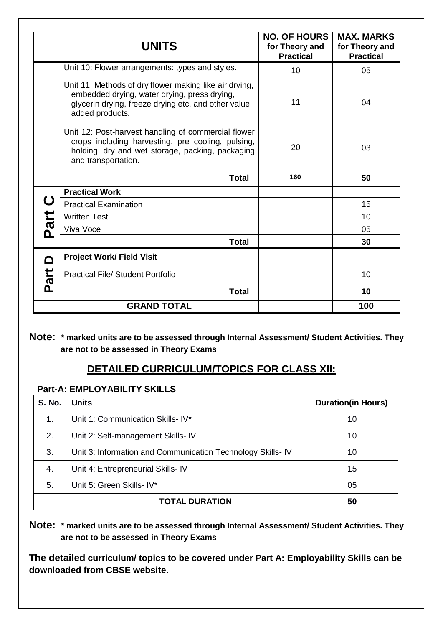|             | <b>UNITS</b>                                                                                                                                                                        | <b>NO. OF HOURS</b><br>for Theory and<br><b>Practical</b> | <b>MAX. MARKS</b><br>for Theory and<br><b>Practical</b> |
|-------------|-------------------------------------------------------------------------------------------------------------------------------------------------------------------------------------|-----------------------------------------------------------|---------------------------------------------------------|
|             | Unit 10: Flower arrangements: types and styles.                                                                                                                                     | 10                                                        | 05                                                      |
|             | Unit 11: Methods of dry flower making like air drying,<br>embedded drying, water drying, press drying,<br>glycerin drying, freeze drying etc. and other value<br>added products.    | 11                                                        | 04                                                      |
|             | Unit 12: Post-harvest handling of commercial flower<br>crops including harvesting, pre cooling, pulsing,<br>holding, dry and wet storage, packing, packaging<br>and transportation. | 20                                                        | 03                                                      |
|             | <b>Total</b>                                                                                                                                                                        | 160                                                       | 50                                                      |
|             | <b>Practical Work</b>                                                                                                                                                               |                                                           |                                                         |
| $\mathbf C$ | <b>Practical Examination</b>                                                                                                                                                        |                                                           | 15                                                      |
|             | <b>Written Test</b>                                                                                                                                                                 |                                                           | 10                                                      |
| Part        | Viva Voce                                                                                                                                                                           |                                                           | 05                                                      |
|             | <b>Total</b>                                                                                                                                                                        |                                                           | 30                                                      |
| ہ<br>Part   | <b>Project Work/ Field Visit</b>                                                                                                                                                    |                                                           |                                                         |
|             | <b>Practical File/ Student Portfolio</b>                                                                                                                                            |                                                           | 10                                                      |
|             | <b>Total</b>                                                                                                                                                                        |                                                           | 10                                                      |
|             | <b>GRAND TOTAL</b>                                                                                                                                                                  |                                                           | 100                                                     |

**Note: \* marked units are to be assessed through Internal Assessment/ Student Activities. They are not to be assessed in Theory Exams** 

#### **DETAILED CURRICULUM/TOPICS FOR CLASS XII:**

#### **Part-A: EMPLOYABILITY SKILLS**

| <b>S. No.</b> | Units                                                      | <b>Duration(in Hours)</b> |
|---------------|------------------------------------------------------------|---------------------------|
| 1.            | Unit 1: Communication Skills- IV*                          | 10                        |
| 2.            | Unit 2: Self-management Skills- IV                         | 10                        |
| 3.            | Unit 3: Information and Communication Technology Skills-IV | 10                        |
| 4.            | Unit 4: Entrepreneurial Skills- IV                         | 15                        |
| 5.            | Unit 5: Green Skills- IV*                                  | 05                        |
|               | <b>TOTAL DURATION</b>                                      | 50                        |

**Note: \* marked units are to be assessed through Internal Assessment/ Student Activities. They are not to be assessed in Theory Exams** 

**The detailed curriculum/ topics to be covered under Part A: Employability Skills can be downloaded from CBSE website**.